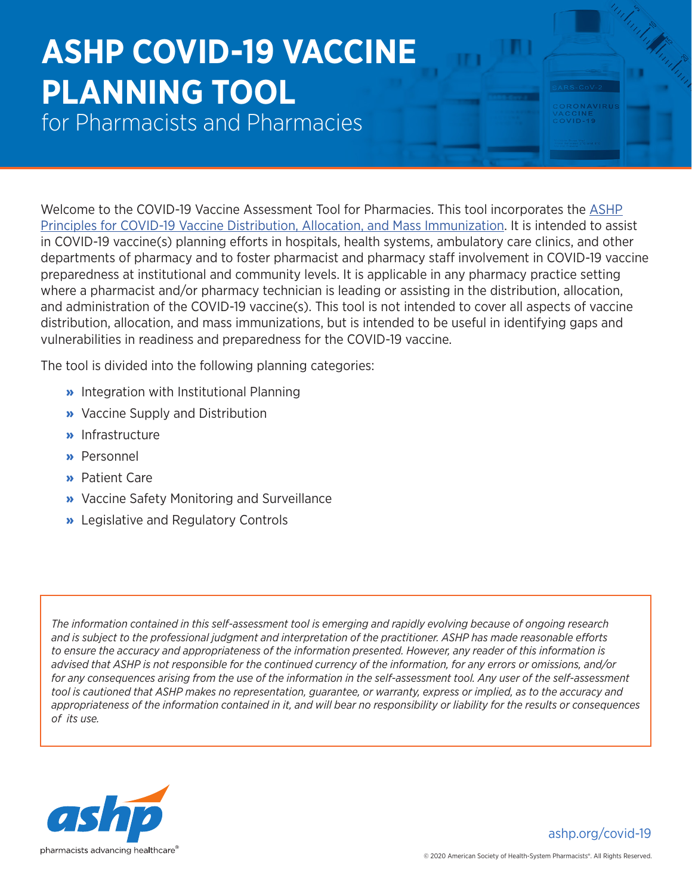## **ASHP COVID-19 VACCINE PLANNING TOOL**

for Pharmacists and Pharmacies

Welcome to the COVID-19 Vaccine Assessment Tool for Pharmacies. This tool incorporates the [ASHP](https://www.ashp.org/-/media/assets/pharmacy-practice/resource-centers/Coronavirus/docs/ASHP-Principles-for-COVID-19-Vaccine) [Principles for COVID-19 Vaccine Distribution, Allocation, and Mass Immunization](https://www.ashp.org/-/media/assets/pharmacy-practice/resource-centers/Coronavirus/docs/ASHP-Principles-for-COVID-19-Vaccine). It is intended to assist in COVID-19 vaccine(s) planning efforts in hospitals, health systems, ambulatory care clinics, and other departments of pharmacy and to foster pharmacist and pharmacy staff involvement in COVID-19 vaccine preparedness at institutional and community levels. It is applicable in any pharmacy practice setting where a pharmacist and/or pharmacy technician is leading or assisting in the distribution, allocation, and administration of the COVID-19 vaccine(s). This tool is not intended to cover all aspects of vaccine distribution, allocation, and mass immunizations, but is intended to be useful in identifying gaps and vulnerabilities in readiness and preparedness for the COVID-19 vaccine.

The tool is divided into the following planning categories:

- » Integration with Institutional Planning
- » Vaccine Supply and Distribution
- » Infrastructure
- » Personnel
- » Patient Care
- » Vaccine Safety Monitoring and Surveillance
- » Legislative and Regulatory Controls

*The information contained in this self-assessment tool is emerging and rapidly evolving because of ongoing research and is subject to the professional judgment and interpretation of the practitioner. ASHP has made reasonable efforts to ensure the accuracy and appropriateness of the information presented. However, any reader of this information is advised that ASHP is not responsible for the continued currency of the information, for any errors or omissions, and/or for any consequences arising from the use of the information in the self-assessment tool. Any user of the self-assessment tool is cautioned that ASHP makes no representation, guarantee, or warranty, express or implied, as to the accuracy and appropriateness of the information contained in it, and will bear no responsibility or liability for the results or consequences of its use.*



[ashp.org/co](http://ashp.org/covid-19)vid-19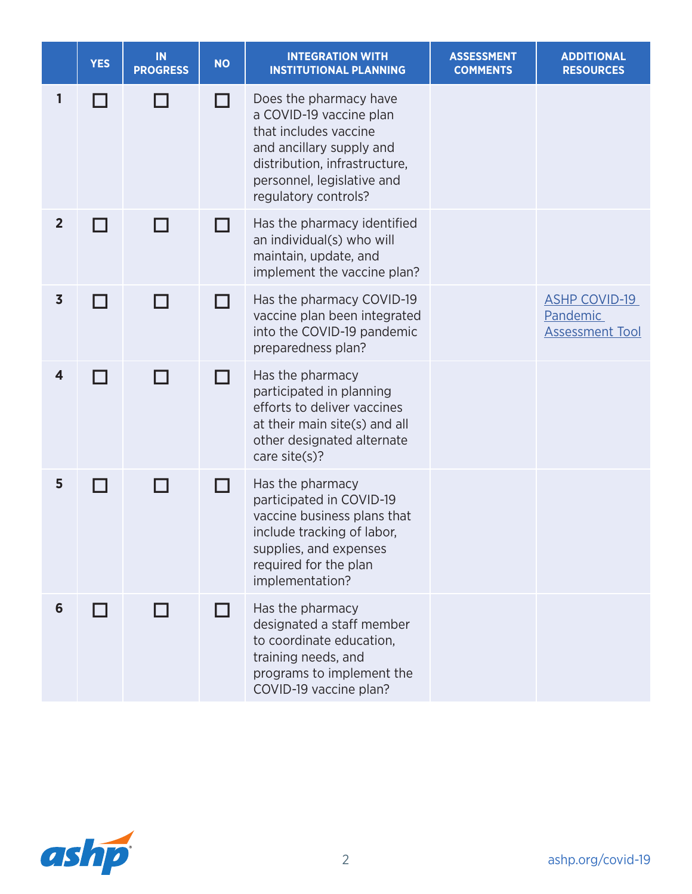|                         | <b>YES</b> | IN<br><b>PROGRESS</b> | <b>NO</b> | <b>INTEGRATION WITH</b><br><b>INSTITUTIONAL PLANNING</b>                                                                                                                                      | <b>ASSESSMENT</b><br><b>COMMENTS</b> | <b>ADDITIONAL</b><br><b>RESOURCES</b>                      |
|-------------------------|------------|-----------------------|-----------|-----------------------------------------------------------------------------------------------------------------------------------------------------------------------------------------------|--------------------------------------|------------------------------------------------------------|
| ı                       |            |                       |           | Does the pharmacy have<br>a COVID-19 vaccine plan<br>that includes vaccine<br>and ancillary supply and<br>distribution, infrastructure,<br>personnel, legislative and<br>regulatory controls? |                                      |                                                            |
| $\overline{2}$          |            |                       | H         | Has the pharmacy identified<br>an individual(s) who will<br>maintain, update, and<br>implement the vaccine plan?                                                                              |                                      |                                                            |
| $\overline{\mathbf{3}}$ |            | a s                   | H         | Has the pharmacy COVID-19<br>vaccine plan been integrated<br>into the COVID-19 pandemic<br>preparedness plan?                                                                                 |                                      | <b>ASHP COVID-19</b><br>Pandemic<br><b>Assessment Tool</b> |
| $\overline{\mathbf{4}}$ |            | П                     | ГT        | Has the pharmacy<br>participated in planning<br>efforts to deliver vaccines<br>at their main site(s) and all<br>other designated alternate<br>care site(s)?                                   |                                      |                                                            |
| 5                       |            | П                     | l I       | Has the pharmacy<br>participated in COVID-19<br>vaccine business plans that<br>include tracking of labor,<br>supplies, and expenses<br>required for the plan<br>implementation?               |                                      |                                                            |
| 6                       | H          |                       |           | Has the pharmacy<br>designated a staff member<br>to coordinate education.<br>training needs, and<br>programs to implement the<br>COVID-19 vaccine plan?                                       |                                      |                                                            |

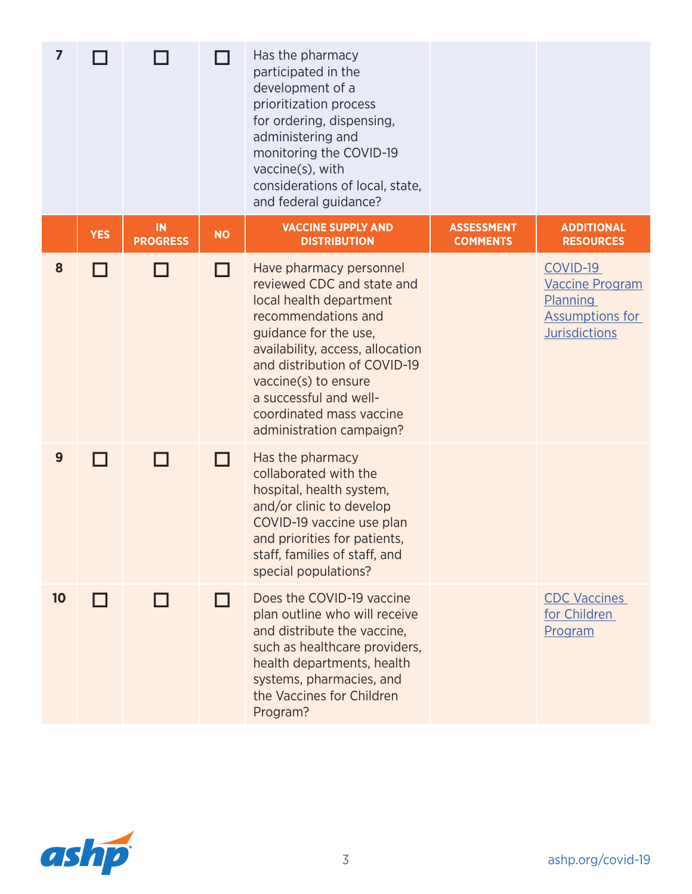| $\overline{7}$ |            |                       |           | Has the pharmacy<br>participated in the<br>development of a<br>prioritization process<br>for ordering, dispensing,<br>administering and<br>monitoring the COVID-19<br>vaccine(s), with<br>considerations of local, state,<br>and federal guidance?                                                             |                                      |                                                                                                         |
|----------------|------------|-----------------------|-----------|----------------------------------------------------------------------------------------------------------------------------------------------------------------------------------------------------------------------------------------------------------------------------------------------------------------|--------------------------------------|---------------------------------------------------------------------------------------------------------|
|                | <b>YES</b> | IN<br><b>PROGRESS</b> | <b>NO</b> | <b>VACCINE SUPPLY AND</b><br><b>DISTRIBUTION</b>                                                                                                                                                                                                                                                               | <b>ASSESSMENT</b><br><b>COMMENTS</b> | <b>ADDITIONAL</b><br><b>RESOURCES</b>                                                                   |
| 8              |            |                       | - 1       | Have pharmacy personnel<br>reviewed CDC and state and<br>local health department<br>recommendations and<br>guidance for the use,<br>availability, access, allocation<br>and distribution of COVID-19<br>vaccine(s) to ensure<br>a successful and well-<br>coordinated mass vaccine<br>administration campaign? |                                      | COVID-19<br><b>Vaccine Program</b><br><b>Planning</b><br><b>Assumptions for</b><br><b>Jurisdictions</b> |
| 9              |            |                       | - 1       | Has the pharmacy<br>collaborated with the<br>hospital, health system,<br>and/or clinic to develop<br>COVID-19 vaccine use plan<br>and priorities for patients,<br>staff, families of staff, and<br>special populations?                                                                                        |                                      |                                                                                                         |
| 10             | П          |                       | l I       | Does the COVID-19 vaccine<br>plan outline who will receive<br>and distribute the vaccine.<br>such as healthcare providers,<br>health departments, health<br>systems, pharmacies, and<br>the Vaccines for Children<br>Program?                                                                                  |                                      | <b>CDC Vaccines</b><br>for Children<br>Program                                                          |

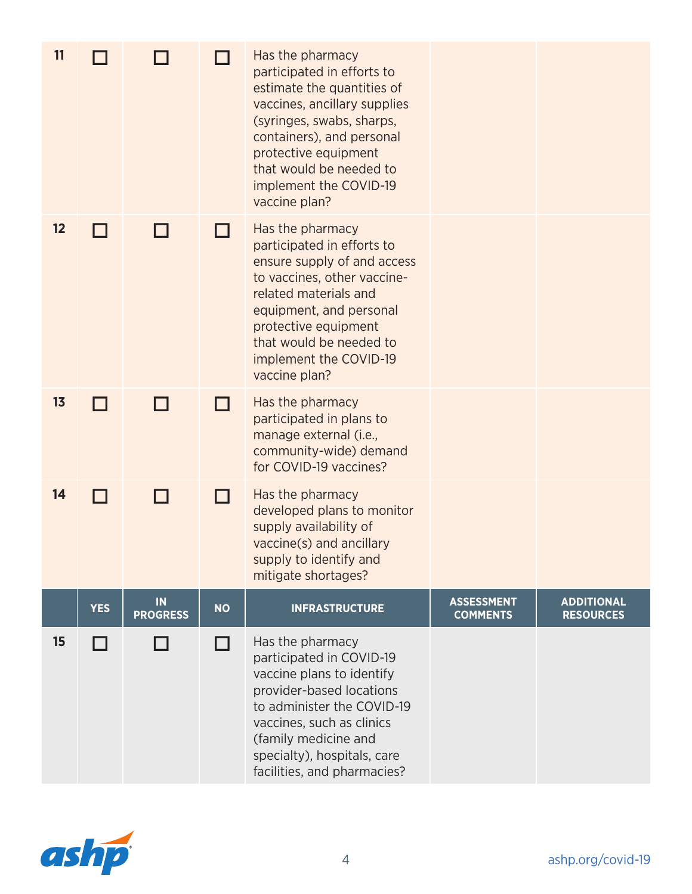| 11 |            |                       |           | Has the pharmacy<br>participated in efforts to<br>estimate the quantities of<br>vaccines, ancillary supplies<br>(syringes, swabs, sharps,<br>containers), and personal<br>protective equipment<br>that would be needed to<br>implement the COVID-19<br>vaccine plan? |                                      |                                       |
|----|------------|-----------------------|-----------|----------------------------------------------------------------------------------------------------------------------------------------------------------------------------------------------------------------------------------------------------------------------|--------------------------------------|---------------------------------------|
| 12 | H          |                       | - 1       | Has the pharmacy<br>participated in efforts to<br>ensure supply of and access<br>to vaccines, other vaccine-<br>related materials and<br>equipment, and personal<br>protective equipment<br>that would be needed to<br>implement the COVID-19<br>vaccine plan?       |                                      |                                       |
| 13 | П          |                       |           | Has the pharmacy<br>participated in plans to<br>manage external (i.e.,<br>community-wide) demand<br>for COVID-19 vaccines?                                                                                                                                           |                                      |                                       |
| 14 | ш          | H                     | H         | Has the pharmacy<br>developed plans to monitor<br>supply availability of<br>vaccine(s) and ancillary<br>supply to identify and<br>mitigate shortages?                                                                                                                |                                      |                                       |
|    | <b>YES</b> | IN<br><b>PROGRESS</b> | <b>NO</b> | <b>INFRASTRUCTURE</b>                                                                                                                                                                                                                                                | <b>ASSESSMENT</b><br><b>COMMENTS</b> | <b>ADDITIONAL</b><br><b>RESOURCES</b> |
| 15 | ш          |                       | П         | Has the pharmacy<br>participated in COVID-19<br>vaccine plans to identify<br>provider-based locations<br>to administer the COVID-19<br>vaccines, such as clinics<br>(family medicine and<br>specialty), hospitals, care<br>facilities, and pharmacies?               |                                      |                                       |

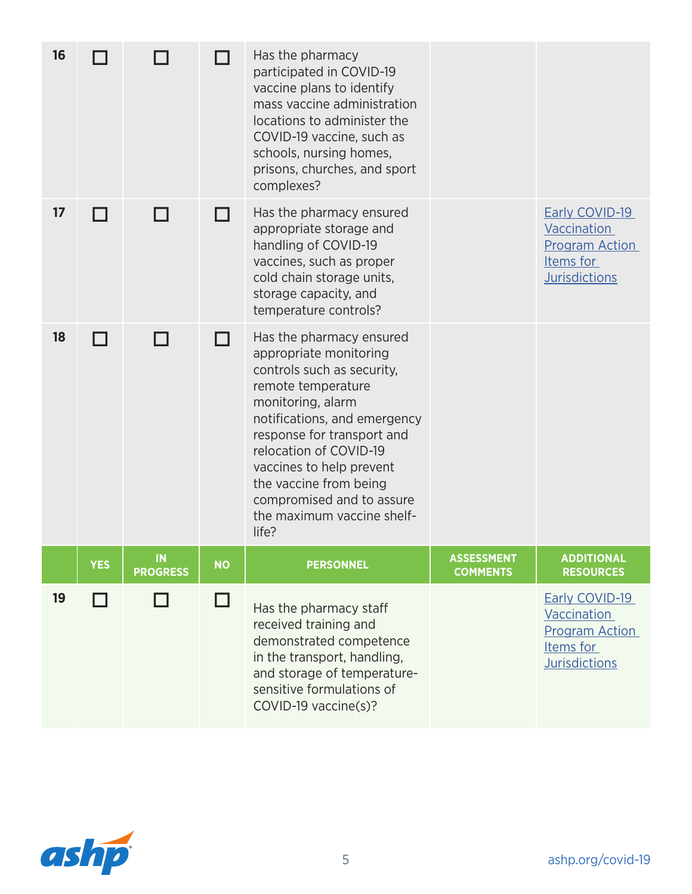| 16 |            |                       |           | Has the pharmacy<br>participated in COVID-19<br>vaccine plans to identify<br>mass vaccine administration<br>locations to administer the<br>COVID-19 vaccine, such as<br>schools, nursing homes,<br>prisons, churches, and sport<br>complexes?                                                                                                 |                                      |                                                                                                    |
|----|------------|-----------------------|-----------|-----------------------------------------------------------------------------------------------------------------------------------------------------------------------------------------------------------------------------------------------------------------------------------------------------------------------------------------------|--------------------------------------|----------------------------------------------------------------------------------------------------|
| 17 |            |                       |           | Has the pharmacy ensured<br>appropriate storage and<br>handling of COVID-19<br>vaccines, such as proper<br>cold chain storage units,<br>storage capacity, and<br>temperature controls?                                                                                                                                                        |                                      | <b>Early COVID-19</b><br>Vaccination<br><b>Program Action</b><br>Items for<br><b>Jurisdictions</b> |
| 18 |            |                       | H         | Has the pharmacy ensured<br>appropriate monitoring<br>controls such as security,<br>remote temperature<br>monitoring, alarm<br>notifications, and emergency<br>response for transport and<br>relocation of COVID-19<br>vaccines to help prevent<br>the vaccine from being<br>compromised and to assure<br>the maximum vaccine shelf-<br>life? |                                      |                                                                                                    |
|    | <b>YES</b> | IN<br><b>PROGRESS</b> | <b>NO</b> | <b>PERSONNEL</b>                                                                                                                                                                                                                                                                                                                              | <b>ASSESSMENT</b><br><b>COMMENTS</b> | <b>ADDITIONAL</b><br><b>RESOURCES</b>                                                              |
| 19 |            | $\Box$                | □         | Has the pharmacy staff<br>received training and<br>demonstrated competence<br>in the transport, handling,<br>and storage of temperature-<br>sensitive formulations of<br>COVID-19 vaccine(s)?                                                                                                                                                 |                                      | Early COVID-19<br>Vaccination<br><b>Program Action</b><br>Items for<br><b>Jurisdictions</b>        |

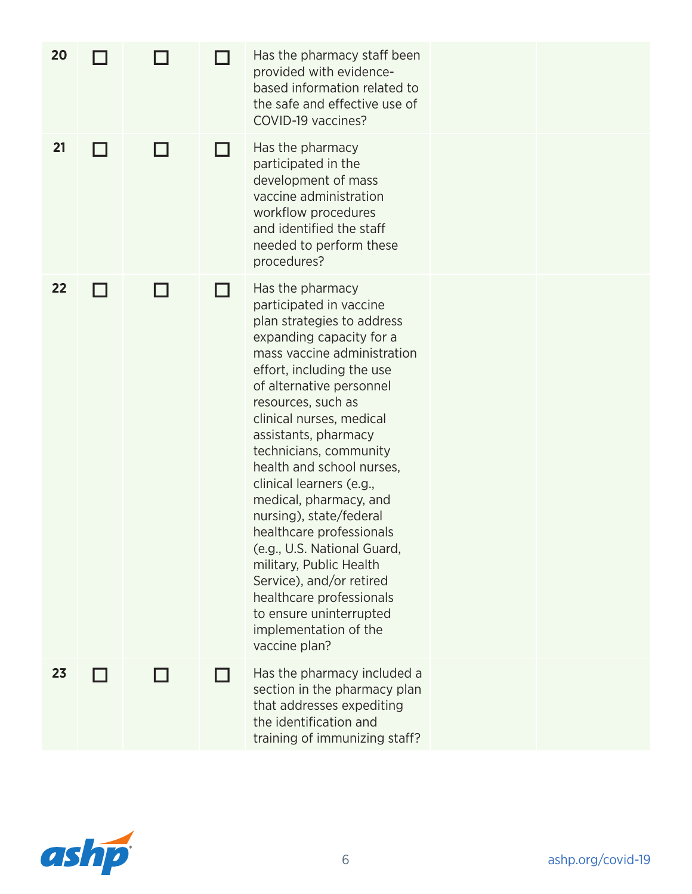| 20 |  |   | Has the pharmacy staff been<br>provided with evidence-<br>based information related to<br>the safe and effective use of<br>COVID-19 vaccines?                                                                                                                                                                                                                                                                                                                                                                                                                                                                                      |  |
|----|--|---|------------------------------------------------------------------------------------------------------------------------------------------------------------------------------------------------------------------------------------------------------------------------------------------------------------------------------------------------------------------------------------------------------------------------------------------------------------------------------------------------------------------------------------------------------------------------------------------------------------------------------------|--|
| 21 |  | H | Has the pharmacy<br>participated in the<br>development of mass<br>vaccine administration<br>workflow procedures<br>and identified the staff<br>needed to perform these<br>procedures?                                                                                                                                                                                                                                                                                                                                                                                                                                              |  |
| 22 |  |   | Has the pharmacy<br>participated in vaccine<br>plan strategies to address<br>expanding capacity for a<br>mass vaccine administration<br>effort, including the use<br>of alternative personnel<br>resources, such as<br>clinical nurses, medical<br>assistants, pharmacy<br>technicians, community<br>health and school nurses,<br>clinical learners (e.g.,<br>medical, pharmacy, and<br>nursing), state/federal<br>healthcare professionals<br>(e.g., U.S. National Guard,<br>military, Public Health<br>Service), and/or retired<br>healthcare professionals<br>to ensure uninterrupted<br>implementation of the<br>vaccine plan? |  |
| 23 |  |   | Has the pharmacy included a<br>section in the pharmacy plan<br>that addresses expediting<br>the identification and<br>training of immunizing staff?                                                                                                                                                                                                                                                                                                                                                                                                                                                                                |  |

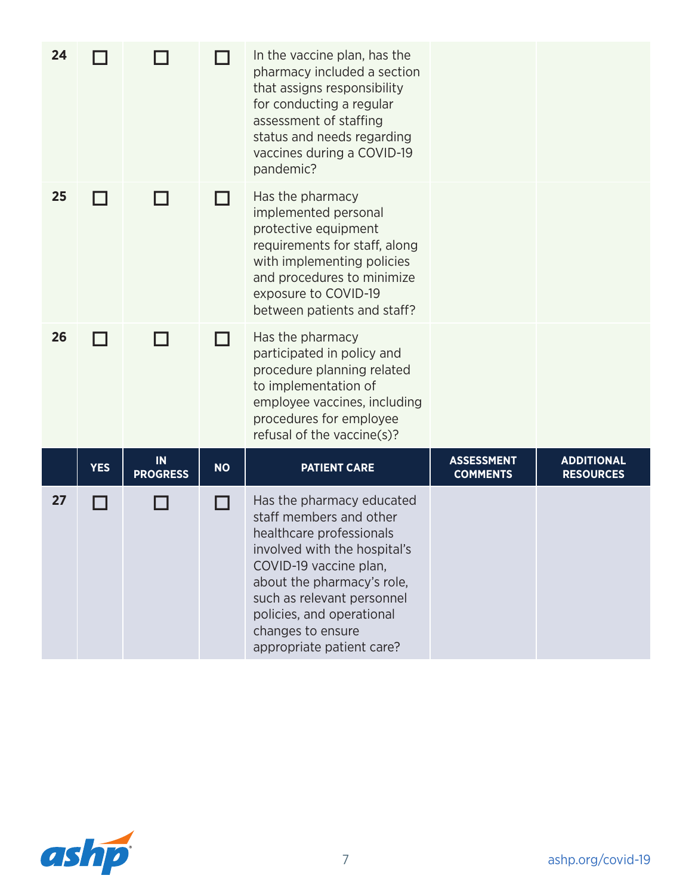| 24 |            |                       |           | In the vaccine plan, has the<br>pharmacy included a section<br>that assigns responsibility<br>for conducting a regular<br>assessment of staffing<br>status and needs regarding<br>vaccines during a COVID-19<br>pandemic?                                                             |                                      |                                       |
|----|------------|-----------------------|-----------|---------------------------------------------------------------------------------------------------------------------------------------------------------------------------------------------------------------------------------------------------------------------------------------|--------------------------------------|---------------------------------------|
| 25 |            |                       |           | Has the pharmacy<br>implemented personal<br>protective equipment<br>requirements for staff, along<br>with implementing policies<br>and procedures to minimize<br>exposure to COVID-19<br>between patients and staff?                                                                  |                                      |                                       |
| 26 |            |                       |           | Has the pharmacy<br>participated in policy and<br>procedure planning related<br>to implementation of<br>employee vaccines, including<br>procedures for employee<br>refusal of the vaccine(s)?                                                                                         |                                      |                                       |
|    | <b>YES</b> | IN<br><b>PROGRESS</b> | <b>NO</b> | <b>PATIENT CARE</b>                                                                                                                                                                                                                                                                   | <b>ASSESSMENT</b><br><b>COMMENTS</b> | <b>ADDITIONAL</b><br><b>RESOURCES</b> |
| 27 |            |                       |           | Has the pharmacy educated<br>staff members and other<br>healthcare professionals<br>involved with the hospital's<br>COVID-19 vaccine plan,<br>about the pharmacy's role,<br>such as relevant personnel<br>policies, and operational<br>changes to ensure<br>appropriate patient care? |                                      |                                       |

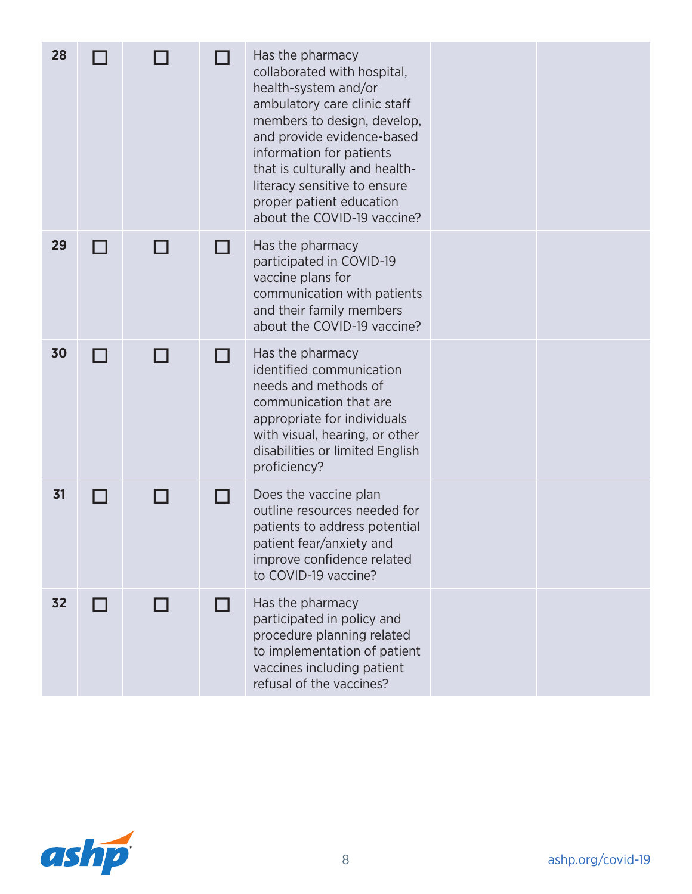| 28 |        |                |   | Has the pharmacy<br>collaborated with hospital,<br>health-system and/or<br>ambulatory care clinic staff<br>members to design, develop,<br>and provide evidence-based<br>information for patients<br>that is culturally and health-<br>literacy sensitive to ensure<br>proper patient education<br>about the COVID-19 vaccine? |  |
|----|--------|----------------|---|-------------------------------------------------------------------------------------------------------------------------------------------------------------------------------------------------------------------------------------------------------------------------------------------------------------------------------|--|
| 29 | I I    |                | H | Has the pharmacy<br>participated in COVID-19<br>vaccine plans for<br>communication with patients<br>and their family members<br>about the COVID-19 vaccine?                                                                                                                                                                   |  |
| 30 | l l    |                | H | Has the pharmacy<br>identified communication<br>needs and methods of<br>communication that are<br>appropriate for individuals<br>with visual, hearing, or other<br>disabilities or limited English<br>proficiency?                                                                                                            |  |
| 31 | LΙ     | $\blacksquare$ | H | Does the vaccine plan<br>outline resources needed for<br>patients to address potential<br>patient fear/anxiety and<br>improve confidence related<br>to COVID-19 vaccine?                                                                                                                                                      |  |
| 32 | $\Box$ | П              | П | Has the pharmacy<br>participated in policy and<br>procedure planning related<br>to implementation of patient<br>vaccines including patient<br>refusal of the vaccines?                                                                                                                                                        |  |

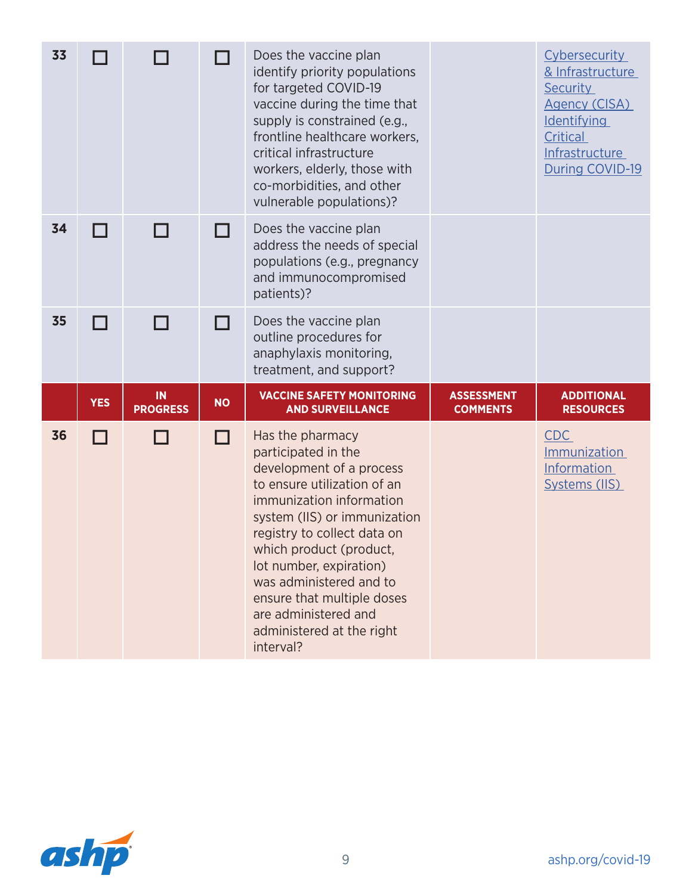| 33 |                |                              |           | Does the vaccine plan<br>identify priority populations<br>for targeted COVID-19<br>vaccine during the time that<br>supply is constrained (e.g.,<br>frontline healthcare workers,<br>critical infrastructure<br>workers, elderly, those with<br>co-morbidities, and other<br>vulnerable populations)? |                                      | Cybersecurity<br>& Infrastructure<br><b>Security</b><br>Agency (CISA)<br><b>Identifying</b><br>Critical<br>Infrastructure<br>During COVID-19 |
|----|----------------|------------------------------|-----------|------------------------------------------------------------------------------------------------------------------------------------------------------------------------------------------------------------------------------------------------------------------------------------------------------|--------------------------------------|----------------------------------------------------------------------------------------------------------------------------------------------|
| 34 | ┓              |                              |           | Does the vaccine plan<br>address the needs of special<br>populations (e.g., pregnancy<br>and immunocompromised<br>patients)?                                                                                                                                                                         |                                      |                                                                                                                                              |
| 35 | ┑              |                              |           | Does the vaccine plan<br>outline procedures for<br>anaphylaxis monitoring,<br>treatment, and support?                                                                                                                                                                                                |                                      |                                                                                                                                              |
|    | <b>YES</b>     | <b>IN</b><br><b>PROGRESS</b> | <b>NO</b> | <b>VACCINE SAFETY MONITORING</b><br><b>AND SURVEILLANCE</b>                                                                                                                                                                                                                                          | <b>ASSESSMENT</b><br><b>COMMENTS</b> | <b>ADDITIONAL</b><br><b>RESOURCES</b>                                                                                                        |
| 36 | $\blacksquare$ |                              | l l       | Has the pharmacy<br>participated in the<br>development of a process<br>to ensure utilization of an<br>immunization information<br>system (IIS) or immunization<br>registry to collect data on                                                                                                        |                                      | <b>CDC</b><br><b>Immunization</b><br>Information<br>Systems (IIS)                                                                            |

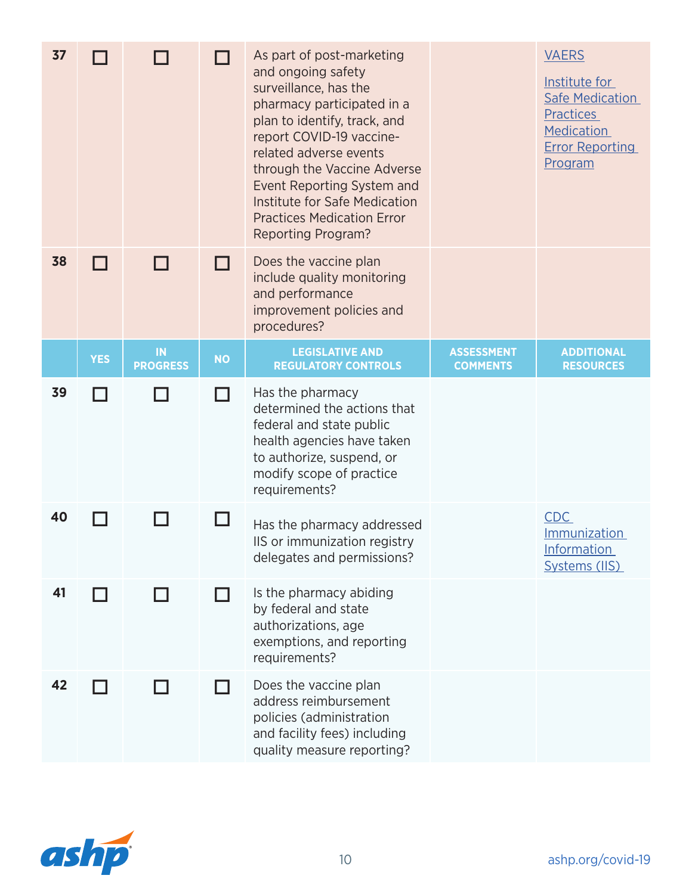| 37 |            |                       |           | As part of post-marketing<br>and ongoing safety<br>surveillance, has the<br>pharmacy participated in a<br>plan to identify, track, and<br>report COVID-19 vaccine-<br>related adverse events<br>through the Vaccine Adverse<br>Event Reporting System and<br>Institute for Safe Medication<br><b>Practices Medication Error</b><br><b>Reporting Program?</b> |                                      | <b>VAERS</b><br>Institute for<br><b>Safe Medication</b><br><b>Practices</b><br><b>Medication</b><br><b>Error Reporting</b><br>Program |
|----|------------|-----------------------|-----------|--------------------------------------------------------------------------------------------------------------------------------------------------------------------------------------------------------------------------------------------------------------------------------------------------------------------------------------------------------------|--------------------------------------|---------------------------------------------------------------------------------------------------------------------------------------|
| 38 |            |                       |           | Does the vaccine plan<br>include quality monitoring<br>and performance<br>improvement policies and<br>procedures?                                                                                                                                                                                                                                            |                                      |                                                                                                                                       |
|    | <b>YES</b> | IN<br><b>PROGRESS</b> | <b>NO</b> | <b>LEGISLATIVE AND</b><br><b>REGULATORY CONTROLS</b>                                                                                                                                                                                                                                                                                                         | <b>ASSESSMENT</b><br><b>COMMENTS</b> | <b>ADDITIONAL</b><br><b>RESOURCES</b>                                                                                                 |
| 39 |            |                       |           | Has the pharmacy<br>determined the actions that<br>federal and state public<br>health agencies have taken<br>to authorize, suspend, or<br>modify scope of practice<br>requirements?                                                                                                                                                                          |                                      |                                                                                                                                       |
| 40 |            |                       | ப         | Has the pharmacy addressed<br>IIS or immunization registry<br>delegates and permissions?                                                                                                                                                                                                                                                                     |                                      | <b>CDC</b><br>Immunization<br><b>Information</b><br>Systems (IIS)                                                                     |
| 41 |            |                       |           | Is the pharmacy abiding<br>by federal and state<br>authorizations, age<br>exemptions, and reporting<br>requirements?                                                                                                                                                                                                                                         |                                      |                                                                                                                                       |
| 42 |            |                       |           | Does the vaccine plan<br>address reimbursement<br>policies (administration<br>and facility fees) including<br>quality measure reporting?                                                                                                                                                                                                                     |                                      |                                                                                                                                       |